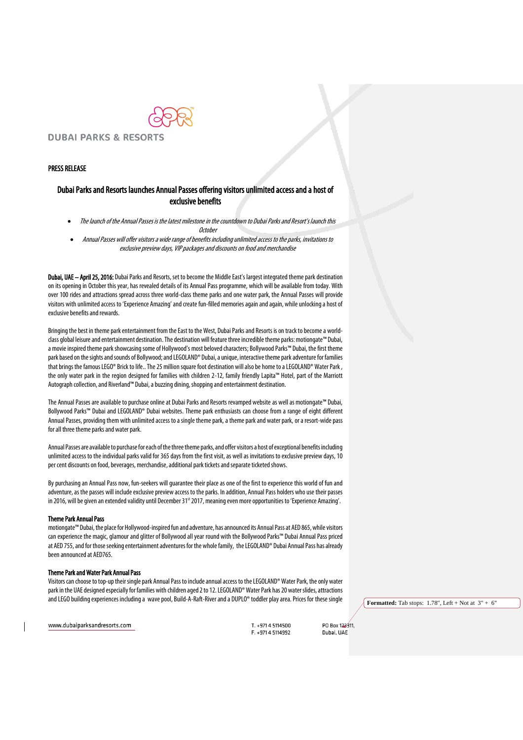

## PRESS RELEASE

# Dubai Parks and Resorts launches Annual Passes offering visitors unlimited access and a host of exclusive benefits

- The launch of the Annual Passes is the latest milestone in the countdown to Dubai Parks and Resort's launch this **October**
- Annual Passes will offer visitors a wide range of benefits including unlimited access to the parks, invitations to exclusive preview days, VIP packages and discounts on food and merchandise

Dubai, UAE - April 25, 2016: Dubai Parks and Resorts, set to become the Middle East's largest integrated theme park destination on its opening in October this year, has revealed details of its Annual Pass programme, which will be available from today. With over 100 rides and attractions spread across three world-class theme parks and one water park, the Annual Passes will provide visitors with unlimited access to'Experience Amazing'and create fun-filled memories again and again, while unlocking a host of exclusive benefits and rewards.

Bringing the best in theme park entertainment from the East to the West, Dubai Parks and Resorts is on track to become a worldclassglobal leisure and entertainment destination. The destination will featurethree incredible theme parks: motiongate™ Dubai, a movie inspired theme parkshowcasing some of Hollywood's most beloved characters; Bollywood Parks™ Dubai, the first theme park based on the sights and sounds of Bollywood; and LEGOLAND® Dubai, a unique, interactive theme parkadventure for families that brings the famous LEGO® Brick to life.. The 25 million square foot destination will also be home to a LEGOLAND® Water Park, the only water park in the region designed for families with children 2-12, family friendly Lapita™ Hotel, part of the Marriott Autograph collection, and Riverland™ Dubai, a buzzing dining, shopping and entertainment destination.

The Annual Passes are available to purchase online at Dubai Parks and Resorts revamped website as well as motiongate™ Dubai, Bollywood Parks™ Dubai and LEGOLAND® Dubai websites. Theme park enthusiasts can choose from a range of eight different Annual Passes, providing them with unlimited access to a single theme park, a theme park and water park, or a resort-wide pass for all three theme parks and water park.

Annual Passes are available to purchase for each of the three theme parks, and offer visitors a host of exceptional benefits including unlimited access to the individual parks valid for 365 days from the first visit, as well as invitations to exclusive preview days,10 per cent discounts on food, beverages, merchandise, additional park tickets and separate ticketed shows.

By purchasing an Annual Pass now, fun-seekers will guarantee their place as one of the first to experience this world of fun and adventure, as the passes will include exclusive preview access to the parks. In addition, Annual Pass holders who use their passes in 2016, will be given an extended validity until December 31<sup>st</sup> 2017, meaning even more opportunities to 'Experience Amazing'.

#### Theme Park Annual Pass

motiongate™ Dubai, the place for Hollywood-inspired fun and adventure, has announced its Annual Passat AED 865, while visitors can experience the magic, glamour and glitter of Bollywood all year round with the Bollywood Parks™ Dubai Annual Pass priced at AED 755, and for those seeking entertainment adventures for the whole family, the LEGOLAND® Dubai Annual Pass has already been announced at AED765.

## Theme Park and Water Park Annual Pass

Visitors can choose to top-up their single park Annual Pass to include annual access to the LEGOLAND® Water Park, the only water park in the UAE designed especially for families with children aged 2 to 12. LEGOLAND® Water Park has 20 water slides, attractions and LEGO building experiences including a wave pool, Build-A-Raft-River and a DUPLO® toddler play area. Prices for these single

**Formatted:** Tab stops: 1.78", Left + Not at 3" + 6"

www.dubaiparksandresorts.com

T +971 4 5114500 F. +971 4 5114992

**PO Box 122411** Dubai, UAE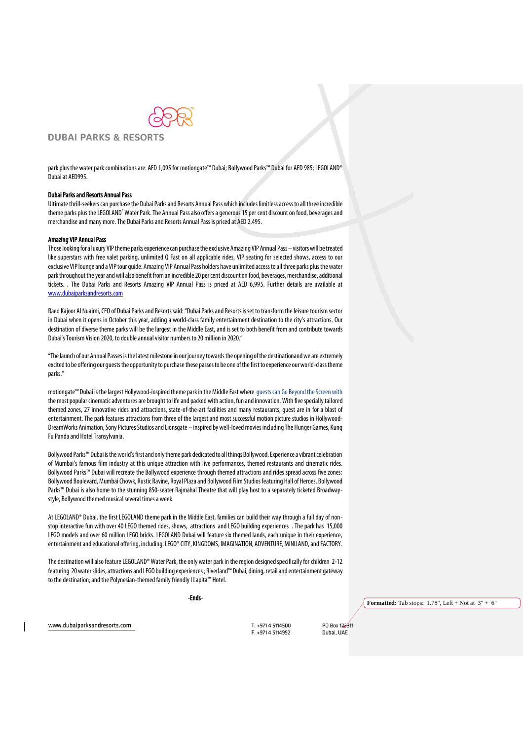

## **DUBAI PARKS & RESORTS**

park plus the water park combinations are: AED 1,095 for motiongate™ Dubai; Bollywood Parks™ Dubai for AED 985; LEGOLAND® Dubai at AED995.

### Dubai Parks and Resorts Annual Pass

Ultimate thrill-seekers can purchase the Dubai Parks and Resorts Annual Pass which includes limitless access to all three incredible theme parks plus the LEGOLAND® Water Park. The Annual Pass also offers a generous 15 per cent discount on food, beverages and merchandise and many more. The Dubai Parks and Resorts Annual Pass is priced at AED 2,495.

### Amazing VIP Annual Pass

Those looking for a luxury VIP theme parks experience can purchase the exclusive Amazing VIP Annual Pass – visitors will be treated like superstars with free valet parking, unlimited Q Fast on all applicable rides, VIP seating for selected shows, access to our exclusive VIP lounge and a VIP tour guide. Amazing VIP Annual Pass holders have unlimited access to all three parks plus the water park throughout the year and will also benefit from an incredible 20 per cent discount on food, beverages, merchandise, additional tickets. . The Dubai Parks and Resorts Amazing VIP Annual Pass is priced at AED 6,995. Further details are available at [www.dubaiparksandresorts.com](http://www.dubaiparksandresorts.com/)

Raed Kajoor Al Nuaimi, CEO of Dubai Parks and Resorts said: "Dubai Parks and Resorts is set to transform the leisure tourism sector in Dubai when it opens in October this year, adding a world-class family entertainment destination to the city's attractions. Our destination of diverse theme parks will be the largest in the Middle East, and is set to both benefit from and contribute towards Dubai's Tourism Vision 2020, to double annual visitor numbers to 20 million in 2020."

"The launch of our Annual Passes is the latest milestone in our journey towards the opening of the destinationand we are extremely excited to be offering our guests the opportunity to purchase these passesto be one of the first to experience our world-class theme parks."

motiongate™ Dubai is the largest Hollywood-inspired theme park in the Middle East where guests can Go Beyond the Screen with the most popular cinematic adventures are brought to life and packed with action, fun and innovation. With five specially tailored themed zones, 27 innovative rides and attractions, state-of-the-art facilities and many restaurants, guest are in for a blast of entertainment. The park features attractions from three of the largest and most successful motion picture studios in Hollywood-DreamWorks Animation, Sony Pictures Studios and Lionsgate – inspired by well-loved movies including The Hunger Games, Kung Fu Panda and Hotel Transylvania.

Bollywood Parks™Dubai is the world's first and only theme park dedicated to all things Bollywood. Experience a vibrant celebration of Mumbai's famous film industry at this unique attraction with live performances, themed restaurants and cinematic rides. Bollywood Parks™ Dubai will recreate the Bollywood experience through themed attractions and rides spread across five zones: Bollywood Boulevard, Mumbai Chowk, Rustic Ravine, Royal Plaza and Bollywood Film Studios featuring Hall of Heroes. Bollywood Parks™ Dubai is also home to the stunning 850-seater Rajmahal Theatre that will play host to a separately ticketed Broadwaystyle, Bollywood themed musical several times a week.

At LEGOLAND® Dubai, the first LEGOLAND theme park in the Middle East, families can build their way through a full day of nonstop interactive fun with over 40 LEGO themed rides, shows, attractions and LEGO building experiences . The park has 15,000 LEGO models and over 60 million LEGO bricks. LEGOLAND Dubai will feature six themed lands, each unique in their experience, entertainment and educational offering, including: LEGO®CITY, KINGDOMS, IMAGINATION, ADVENTURE, MINILAND, and FACTORY.

The destination will also feature LEGOLAND® Water Park, the only water park in the region designed specifically for children 2-12 featuring 20 water slides, attractions and LEGO building experiences; Riverland™ Dubai, dining, retailand entertainment gateway to the destination; and the Polynesian-themed family friendly I Lapita™ Hotel.

-Ends-

**Formatted:** Tab stops:  $1.78$ ", Left + Not at  $3$ " + 6"

www.dubaiparksandresorts.com

T +971 4 5114500 F. +971 4 5114992

**PO Roy 122311** 

Dubai, UAE